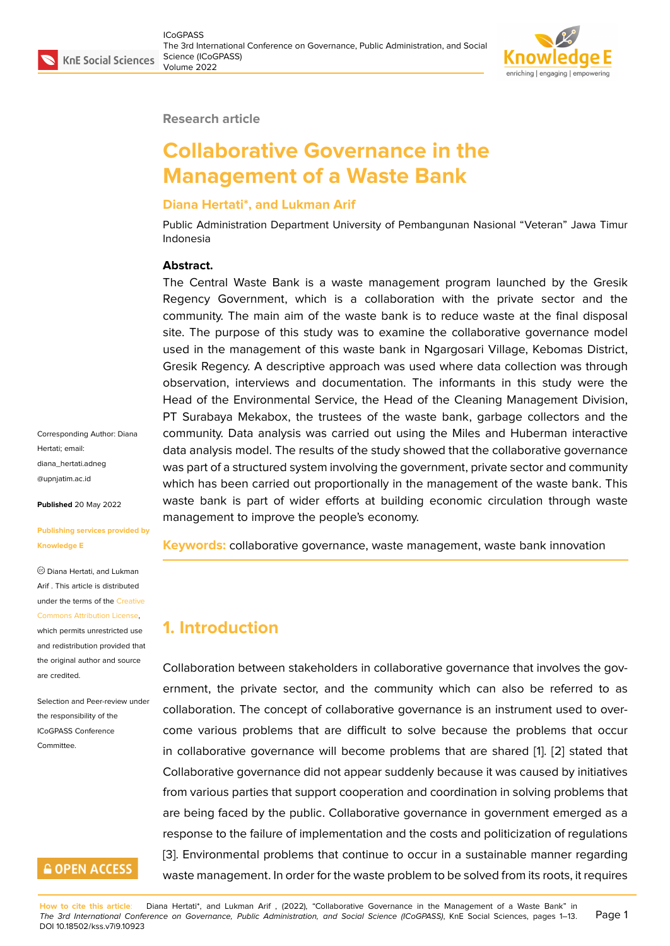#### **Research article**

# **Collaborative Governance in the Management of a Waste Bank**

#### **Diana Hertati\*, and Lukman Arif**

Public Administration Department University of Pembangunan Nasional "Veteran" Jawa Timur Indonesia

#### **Abstract.**

The Central Waste Bank is a waste management program launched by the Gresik Regency Government, which is a collaboration with the private sector and the community. The main aim of the waste bank is to reduce waste at the final disposal site. The purpose of this study was to examine the collaborative governance model used in the management of this waste bank in Ngargosari Village, Kebomas District, Gresik Regency. A descriptive approach was used where data collection was through observation, interviews and documentation. The informants in this study were the Head of the Environmental Service, the Head of the Cleaning Management Division, PT Surabaya Mekabox, the trustees of the waste bank, garbage collectors and the community. Data analysis was carried out using the Miles and Huberman interactive data analysis model. The results of the study showed that the collaborative governance was part of a structured system involving the government, private sector and community which has been carried out proportionally in the management of the waste bank. This waste bank is part of wider efforts at building economic circulation through waste management to improve the people's economy.

**Keywords:** collaborative governance, waste management, waste bank innovation

### **1. Introduction**

Collaboration between stakeholders in collaborative governance that involves the government, the private sector, and the community which can also be referred to as collaboration. The concept of collaborative governance is an instrument used to overcome various problems that are difficult to solve because the problems that occur in collaborative governance will become problems that are shared [1]. [2] stated that Collaborative governance did not appear suddenly because it was caused by initiatives from various parties that support cooperation and coordination in solving problems that are being faced by the public. Collaborative governance in governm[en](#page-11-0)t [em](#page-11-1)erged as a response to the failure of implementation and the costs and politicization of regulations [3]. Environmental problems that continue to occur in a sustainable manner regarding waste management. In order for the waste problem to be solved from its roots, it requires

Corresponding Author: Diana Hertati; email: diana\_hertati.adneg @upnjatim.ac.id

**Published** 20 May 2022

**[Publishing serv](mailto:diana_hertati.adneg@upnjatim.ac.id)ices provided by Knowledge E**

Diana Hertati, and Lukman Arif . This article is distributed under the terms of the Creative

Commons Attribution License,

which permits unrestricted use and redistribution provided that the original author and [source](https://creativecommons.org/licenses/by/4.0/) [are credited.](https://creativecommons.org/licenses/by/4.0/)

Selection and Peer-review under the responsibility of the ICoGPASS Conference Committee.

# **GOPEN ACCESS**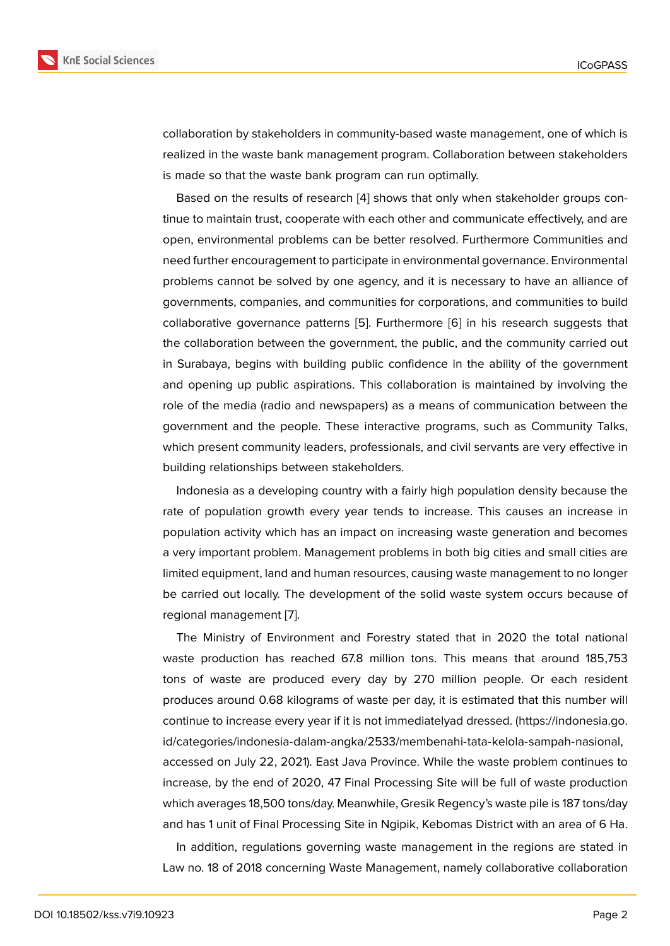collaboration by stakeholders in community-based waste management, one of which is realized in the waste bank management program. Collaboration between stakeholders is made so that the waste bank program can run optimally.

Based on the results of research [4] shows that only when stakeholder groups continue to maintain trust, cooperate with each other and communicate effectively, and are open, environmental problems can be better resolved. Furthermore Communities and need further encouragement to parti[cip](#page-11-3)ate in environmental governance. Environmental problems cannot be solved by one agency, and it is necessary to have an alliance of governments, companies, and communities for corporations, and communities to build collaborative governance patterns [5]. Furthermore [6] in his research suggests that the collaboration between the government, the public, and the community carried out in Surabaya, begins with building public confidence in the ability of the government and opening up public aspirations. [T](#page-11-4)his collaboratio[n](#page-11-5) is maintained by involving the role of the media (radio and newspapers) as a means of communication between the government and the people. These interactive programs, such as Community Talks, which present community leaders, professionals, and civil servants are very effective in building relationships between stakeholders.

Indonesia as a developing country with a fairly high population density because the rate of population growth every year tends to increase. This causes an increase in population activity which has an impact on increasing waste generation and becomes a very important problem. Management problems in both big cities and small cities are limited equipment, land and human resources, causing waste management to no longer be carried out locally. The development of the solid waste system occurs because of regional management [7].

The Ministry of Environment and Forestry stated that in 2020 the total national waste production has reached 67.8 million tons. This means that around 185,753 tons of waste are pr[od](#page-11-6)uced every day by 270 million people. Or each resident produces around 0.68 kilograms of waste per day, it is estimated that this number will continue to increase every year if it is not immediatelyad dressed. (https://indonesia.go. id/categories/indonesia-dalam-angka/2533/membenahi-tata-kelola-sampah-nasional, accessed on July 22, 2021). East Java Province. While the waste problem continues to increase, by the end of 2020, 47 Final Processing Site will be full [of waste production](https://indonesia.go.id/categories/indonesia-dalam-angka/2533/membe nahi-tata-kelola-sampah-nasional) [which averages 18,500 tons/day. Meanwhile, Gresik Regency's waste pile is 187 tons/da](https://indonesia.go.id/categories/indonesia-dalam-angka/2533/membe nahi-tata-kelola-sampah-nasional)y and has 1 unit of Final Processing Site in Ngipik, Kebomas District with an area of 6 Ha.

In addition, regulations governing waste management in the regions are stated in Law no. 18 of 2018 concerning Waste Management, namely collaborative collaboration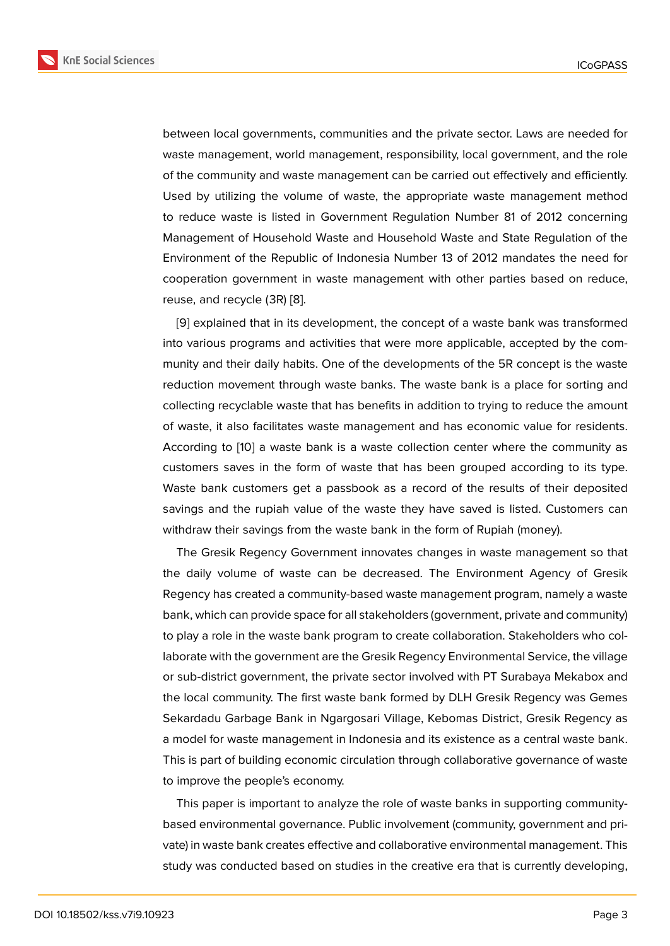between local governments, communities and the private sector. Laws are needed for waste management, world management, responsibility, local government, and the role of the community and waste management can be carried out effectively and efficiently. Used by utilizing the volume of waste, the appropriate waste management method to reduce waste is listed in Government Regulation Number 81 of 2012 concerning Management of Household Waste and Household Waste and State Regulation of the Environment of the Republic of Indonesia Number 13 of 2012 mandates the need for cooperation government in waste management with other parties based on reduce, reuse, and recycle (3R) [8].

[9] explained that in its development, the concept of a waste bank was transformed into various programs and activities that were more applicable, accepted by the community and their daily h[ab](#page-11-7)its. One of the developments of the 5R concept is the waste re[du](#page-11-8)ction movement through waste banks. The waste bank is a place for sorting and collecting recyclable waste that has benefits in addition to trying to reduce the amount of waste, it also facilitates waste management and has economic value for residents. According to [10] a waste bank is a waste collection center where the community as customers saves in the form of waste that has been grouped according to its type. Waste bank customers get a passbook as a record of the results of their deposited savings and t[he](#page-12-0) rupiah value of the waste they have saved is listed. Customers can withdraw their savings from the waste bank in the form of Rupiah (money).

The Gresik Regency Government innovates changes in waste management so that the daily volume of waste can be decreased. The Environment Agency of Gresik Regency has created a community-based waste management program, namely a waste bank, which can provide space for all stakeholders (government, private and community) to play a role in the waste bank program to create collaboration. Stakeholders who collaborate with the government are the Gresik Regency Environmental Service, the village or sub-district government, the private sector involved with PT Surabaya Mekabox and the local community. The first waste bank formed by DLH Gresik Regency was Gemes Sekardadu Garbage Bank in Ngargosari Village, Kebomas District, Gresik Regency as a model for waste management in Indonesia and its existence as a central waste bank. This is part of building economic circulation through collaborative governance of waste to improve the people's economy.

This paper is important to analyze the role of waste banks in supporting communitybased environmental governance. Public involvement (community, government and private) in waste bank creates effective and collaborative environmental management. This study was conducted based on studies in the creative era that is currently developing,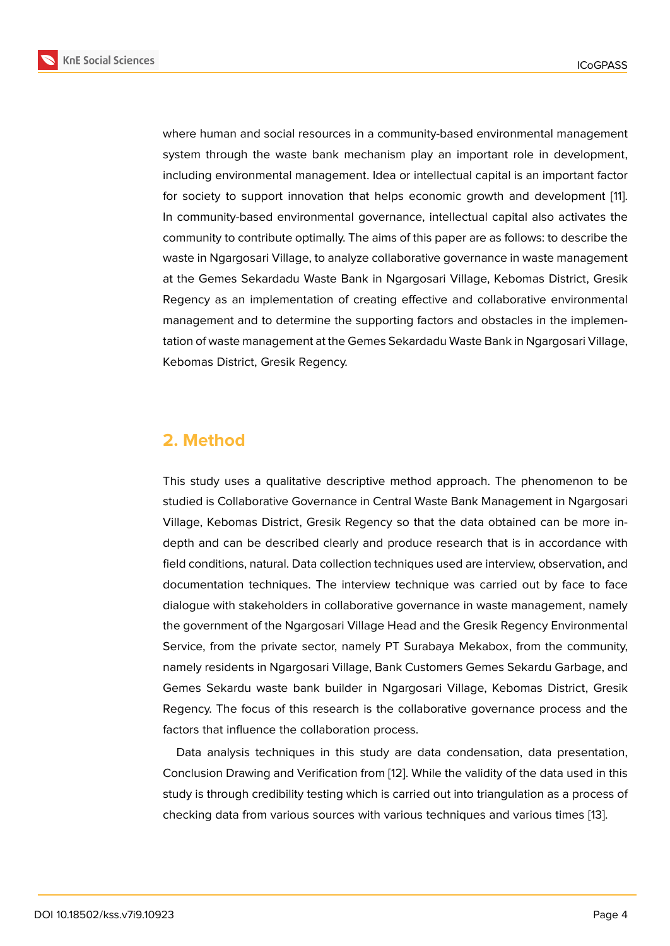where human and social resources in a community-based environmental management system through the waste bank mechanism play an important role in development, including environmental management. Idea or intellectual capital is an important factor for society to support innovation that helps economic growth and development [11]. In community-based environmental governance, intellectual capital also activates the community to contribute optimally. The aims of this paper are as follows: to describe the waste in Ngargosari Village, to analyze collaborative governance in waste managem[en](#page-12-1)t at the Gemes Sekardadu Waste Bank in Ngargosari Village, Kebomas District, Gresik Regency as an implementation of creating effective and collaborative environmental management and to determine the supporting factors and obstacles in the implementation of waste management at the Gemes Sekardadu Waste Bank in Ngargosari Village, Kebomas District, Gresik Regency.

# **2. Method**

This study uses a qualitative descriptive method approach. The phenomenon to be studied is Collaborative Governance in Central Waste Bank Management in Ngargosari Village, Kebomas District, Gresik Regency so that the data obtained can be more indepth and can be described clearly and produce research that is in accordance with field conditions, natural. Data collection techniques used are interview, observation, and documentation techniques. The interview technique was carried out by face to face dialogue with stakeholders in collaborative governance in waste management, namely the government of the Ngargosari Village Head and the Gresik Regency Environmental Service, from the private sector, namely PT Surabaya Mekabox, from the community, namely residents in Ngargosari Village, Bank Customers Gemes Sekardu Garbage, and Gemes Sekardu waste bank builder in Ngargosari Village, Kebomas District, Gresik Regency. The focus of this research is the collaborative governance process and the factors that influence the collaboration process.

Data analysis techniques in this study are data condensation, data presentation, Conclusion Drawing and Verification from [12]. While the validity of the data used in this study is through credibility testing which is carried out into triangulation as a process of checking data from various sources with various techniques and various times [13].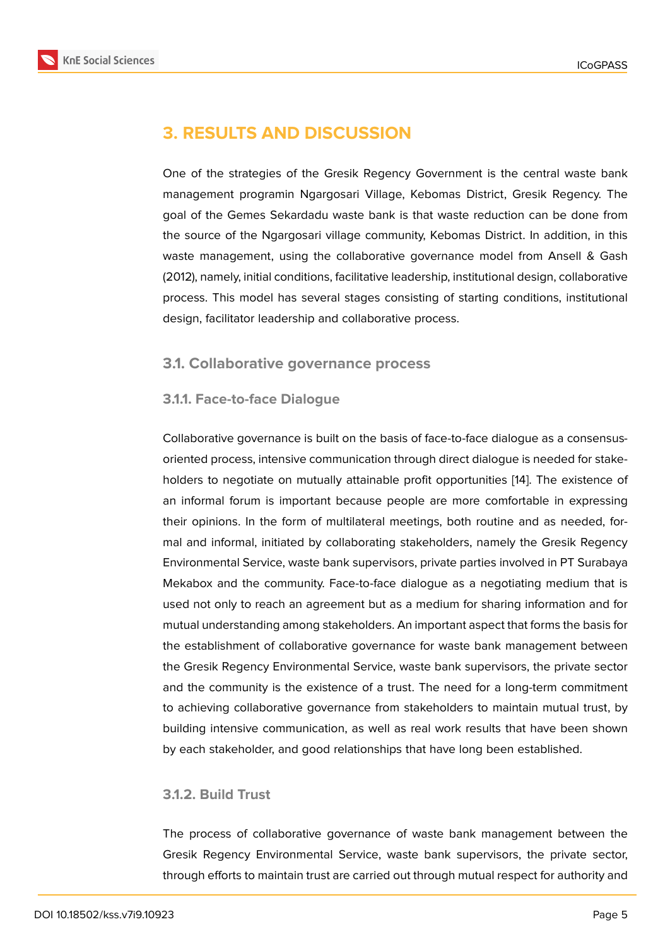## **3. RESULTS AND DISCUSSION**

One of the strategies of the Gresik Regency Government is the central waste bank management programin Ngargosari Village, Kebomas District, Gresik Regency. The goal of the Gemes Sekardadu waste bank is that waste reduction can be done from the source of the Ngargosari village community, Kebomas District. In addition, in this waste management, using the collaborative governance model from Ansell & Gash (2012), namely, initial conditions, facilitative leadership, institutional design, collaborative process. This model has several stages consisting of starting conditions, institutional design, facilitator leadership and collaborative process.

#### **3.1. Collaborative governance process**

#### **3.1.1. Face-to-face Dialogue**

Collaborative governance is built on the basis of face-to-face dialogue as a consensusoriented process, intensive communication through direct dialogue is needed for stakeholders to negotiate on mutually attainable profit opportunities [14]. The existence of an informal forum is important because people are more comfortable in expressing their opinions. In the form of multilateral meetings, both routine and as needed, formal and informal, initiated by collaborating stakeholders, namel[y th](#page-12-2)e Gresik Regency Environmental Service, waste bank supervisors, private parties involved in PT Surabaya Mekabox and the community. Face-to-face dialogue as a negotiating medium that is used not only to reach an agreement but as a medium for sharing information and for mutual understanding among stakeholders. An important aspect that forms the basis for the establishment of collaborative governance for waste bank management between the Gresik Regency Environmental Service, waste bank supervisors, the private sector and the community is the existence of a trust. The need for a long-term commitment to achieving collaborative governance from stakeholders to maintain mutual trust, by building intensive communication, as well as real work results that have been shown by each stakeholder, and good relationships that have long been established.

#### **3.1.2. Build Trust**

The process of collaborative governance of waste bank management between the Gresik Regency Environmental Service, waste bank supervisors, the private sector, through efforts to maintain trust are carried out through mutual respect for authority and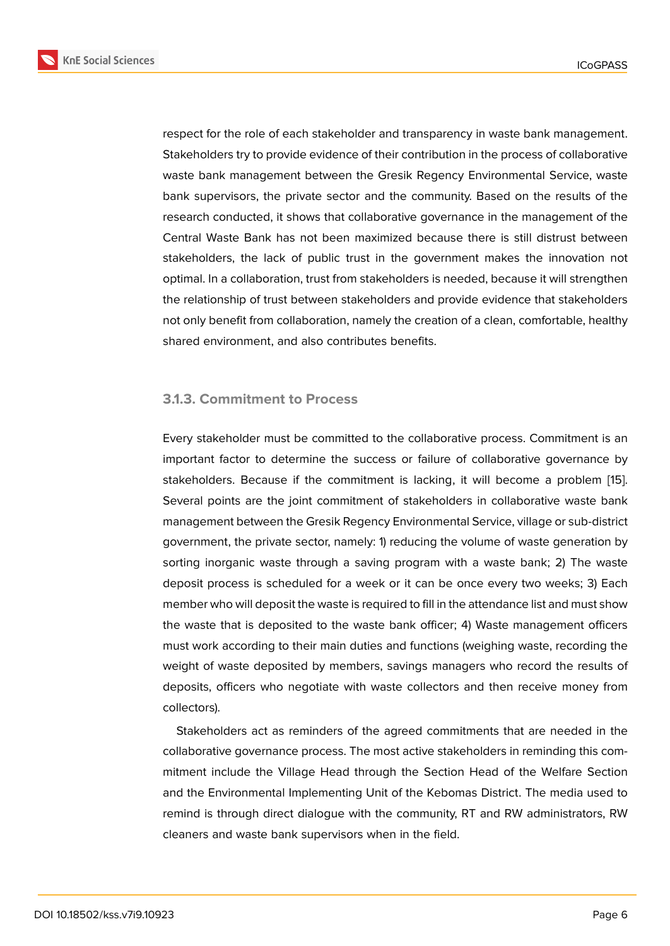respect for the role of each stakeholder and transparency in waste bank management. Stakeholders try to provide evidence of their contribution in the process of collaborative waste bank management between the Gresik Regency Environmental Service, waste bank supervisors, the private sector and the community. Based on the results of the research conducted, it shows that collaborative governance in the management of the Central Waste Bank has not been maximized because there is still distrust between stakeholders, the lack of public trust in the government makes the innovation not optimal. In a collaboration, trust from stakeholders is needed, because it will strengthen the relationship of trust between stakeholders and provide evidence that stakeholders not only benefit from collaboration, namely the creation of a clean, comfortable, healthy shared environment, and also contributes benefits.

### **3.1.3. Commitment to Process**

Every stakeholder must be committed to the collaborative process. Commitment is an important factor to determine the success or failure of collaborative governance by stakeholders. Because if the commitment is lacking, it will become a problem [15]. Several points are the joint commitment of stakeholders in collaborative waste bank management between the Gresik Regency Environmental Service, village or sub-district government, the private sector, namely: 1) reducing the volume of waste generatio[n by](#page-12-3) sorting inorganic waste through a saving program with a waste bank; 2) The waste deposit process is scheduled for a week or it can be once every two weeks; 3) Each member who will deposit the waste is required to fill in the attendance list and must show the waste that is deposited to the waste bank officer; 4) Waste management officers must work according to their main duties and functions (weighing waste, recording the weight of waste deposited by members, savings managers who record the results of deposits, officers who negotiate with waste collectors and then receive money from collectors).

Stakeholders act as reminders of the agreed commitments that are needed in the collaborative governance process. The most active stakeholders in reminding this commitment include the Village Head through the Section Head of the Welfare Section and the Environmental Implementing Unit of the Kebomas District. The media used to remind is through direct dialogue with the community, RT and RW administrators, RW cleaners and waste bank supervisors when in the field.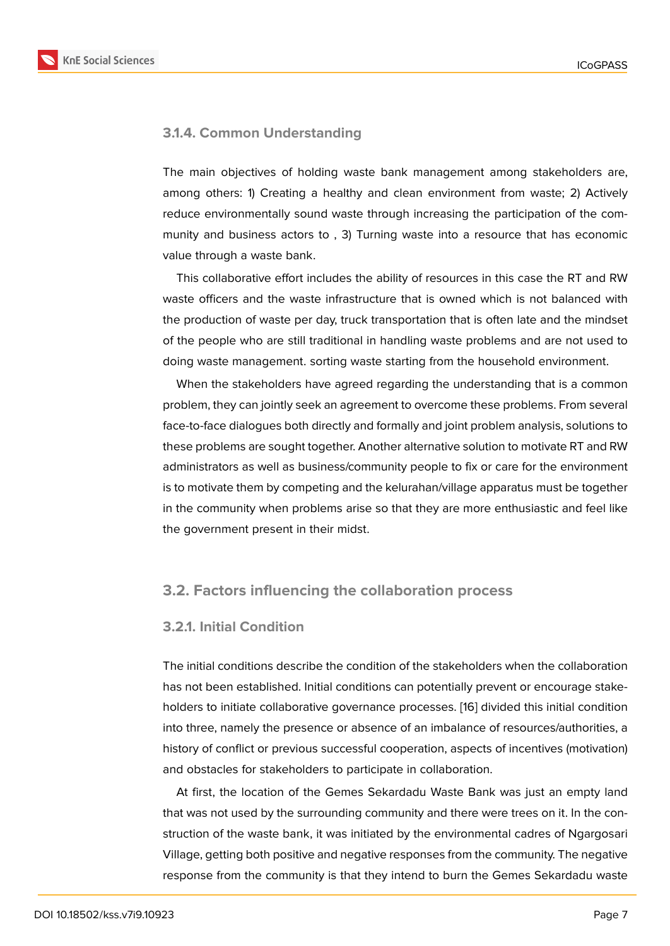### **3.1.4. Common Understanding**

The main objectives of holding waste bank management among stakeholders are, among others: 1) Creating a healthy and clean environment from waste; 2) Actively reduce environmentally sound waste through increasing the participation of the community and business actors to , 3) Turning waste into a resource that has economic value through a waste bank.

This collaborative effort includes the ability of resources in this case the RT and RW waste officers and the waste infrastructure that is owned which is not balanced with the production of waste per day, truck transportation that is often late and the mindset of the people who are still traditional in handling waste problems and are not used to doing waste management. sorting waste starting from the household environment.

When the stakeholders have agreed regarding the understanding that is a common problem, they can jointly seek an agreement to overcome these problems. From several face-to-face dialogues both directly and formally and joint problem analysis, solutions to these problems are sought together. Another alternative solution to motivate RT and RW administrators as well as business/community people to fix or care for the environment is to motivate them by competing and the kelurahan/village apparatus must be together in the community when problems arise so that they are more enthusiastic and feel like the government present in their midst.

### **3.2. Factors influencing the collaboration process**

#### **3.2.1. Initial Condition**

The initial conditions describe the condition of the stakeholders when the collaboration has not been established. Initial conditions can potentially prevent or encourage stakeholders to initiate collaborative governance processes. [16] divided this initial condition into three, namely the presence or absence of an imbalance of resources/authorities, a history of conflict or previous successful cooperation, aspects of incentives (motivation) and obstacles for stakeholders to participate in collabo[rati](#page-12-4)on.

At first, the location of the Gemes Sekardadu Waste Bank was just an empty land that was not used by the surrounding community and there were trees on it. In the construction of the waste bank, it was initiated by the environmental cadres of Ngargosari Village, getting both positive and negative responses from the community. The negative response from the community is that they intend to burn the Gemes Sekardadu waste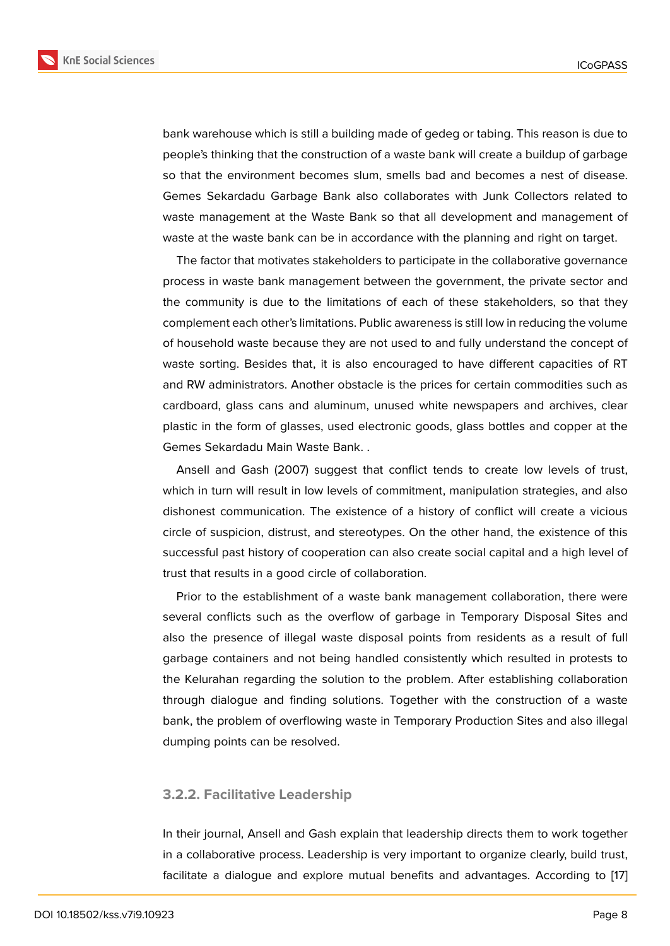bank warehouse which is still a building made of gedeg or tabing. This reason is due to people's thinking that the construction of a waste bank will create a buildup of garbage so that the environment becomes slum, smells bad and becomes a nest of disease. Gemes Sekardadu Garbage Bank also collaborates with Junk Collectors related to waste management at the Waste Bank so that all development and management of waste at the waste bank can be in accordance with the planning and right on target.

The factor that motivates stakeholders to participate in the collaborative governance process in waste bank management between the government, the private sector and the community is due to the limitations of each of these stakeholders, so that they complement each other's limitations. Public awareness is still low in reducing the volume of household waste because they are not used to and fully understand the concept of waste sorting. Besides that, it is also encouraged to have different capacities of RT and RW administrators. Another obstacle is the prices for certain commodities such as cardboard, glass cans and aluminum, unused white newspapers and archives, clear plastic in the form of glasses, used electronic goods, glass bottles and copper at the Gemes Sekardadu Main Waste Bank. .

Ansell and Gash (2007) suggest that conflict tends to create low levels of trust, which in turn will result in low levels of commitment, manipulation strategies, and also dishonest communication. The existence of a history of conflict will create a vicious circle of suspicion, distrust, and stereotypes. On the other hand, the existence of this successful past history of cooperation can also create social capital and a high level of trust that results in a good circle of collaboration.

Prior to the establishment of a waste bank management collaboration, there were several conflicts such as the overflow of garbage in Temporary Disposal Sites and also the presence of illegal waste disposal points from residents as a result of full garbage containers and not being handled consistently which resulted in protests to the Kelurahan regarding the solution to the problem. After establishing collaboration through dialogue and finding solutions. Together with the construction of a waste bank, the problem of overflowing waste in Temporary Production Sites and also illegal dumping points can be resolved.

#### **3.2.2. Facilitative Leadership**

In their journal, Ansell and Gash explain that leadership directs them to work together in a collaborative process. Leadership is very important to organize clearly, build trust, facilitate a dialogue and explore mutual benefits and advantages. According to [17]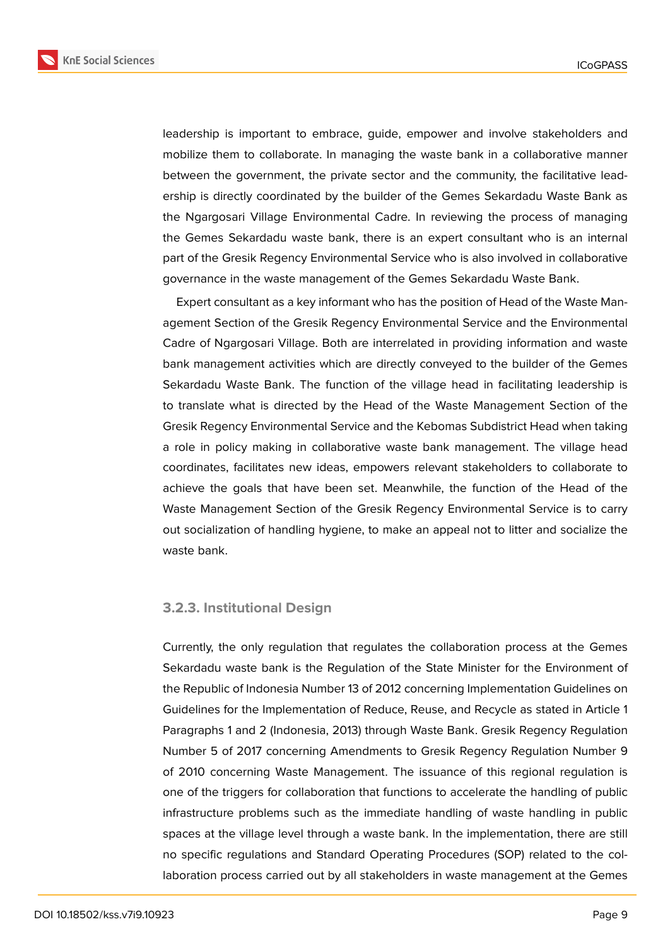**KnE Social Sciences** 



leadership is important to embrace, guide, empower and involve stakeholders and mobilize them to collaborate. In managing the waste bank in a collaborative manner between the government, the private sector and the community, the facilitative leadership is directly coordinated by the builder of the Gemes Sekardadu Waste Bank as the Ngargosari Village Environmental Cadre. In reviewing the process of managing the Gemes Sekardadu waste bank, there is an expert consultant who is an internal part of the Gresik Regency Environmental Service who is also involved in collaborative governance in the waste management of the Gemes Sekardadu Waste Bank.

Expert consultant as a key informant who has the position of Head of the Waste Management Section of the Gresik Regency Environmental Service and the Environmental Cadre of Ngargosari Village. Both are interrelated in providing information and waste bank management activities which are directly conveyed to the builder of the Gemes Sekardadu Waste Bank. The function of the village head in facilitating leadership is to translate what is directed by the Head of the Waste Management Section of the Gresik Regency Environmental Service and the Kebomas Subdistrict Head when taking a role in policy making in collaborative waste bank management. The village head coordinates, facilitates new ideas, empowers relevant stakeholders to collaborate to achieve the goals that have been set. Meanwhile, the function of the Head of the Waste Management Section of the Gresik Regency Environmental Service is to carry out socialization of handling hygiene, to make an appeal not to litter and socialize the waste bank.

### **3.2.3. Institutional Design**

Currently, the only regulation that regulates the collaboration process at the Gemes Sekardadu waste bank is the Regulation of the State Minister for the Environment of the Republic of Indonesia Number 13 of 2012 concerning Implementation Guidelines on Guidelines for the Implementation of Reduce, Reuse, and Recycle as stated in Article 1 Paragraphs 1 and 2 (Indonesia, 2013) through Waste Bank. Gresik Regency Regulation Number 5 of 2017 concerning Amendments to Gresik Regency Regulation Number 9 of 2010 concerning Waste Management. The issuance of this regional regulation is one of the triggers for collaboration that functions to accelerate the handling of public infrastructure problems such as the immediate handling of waste handling in public spaces at the village level through a waste bank. In the implementation, there are still no specific regulations and Standard Operating Procedures (SOP) related to the collaboration process carried out by all stakeholders in waste management at the Gemes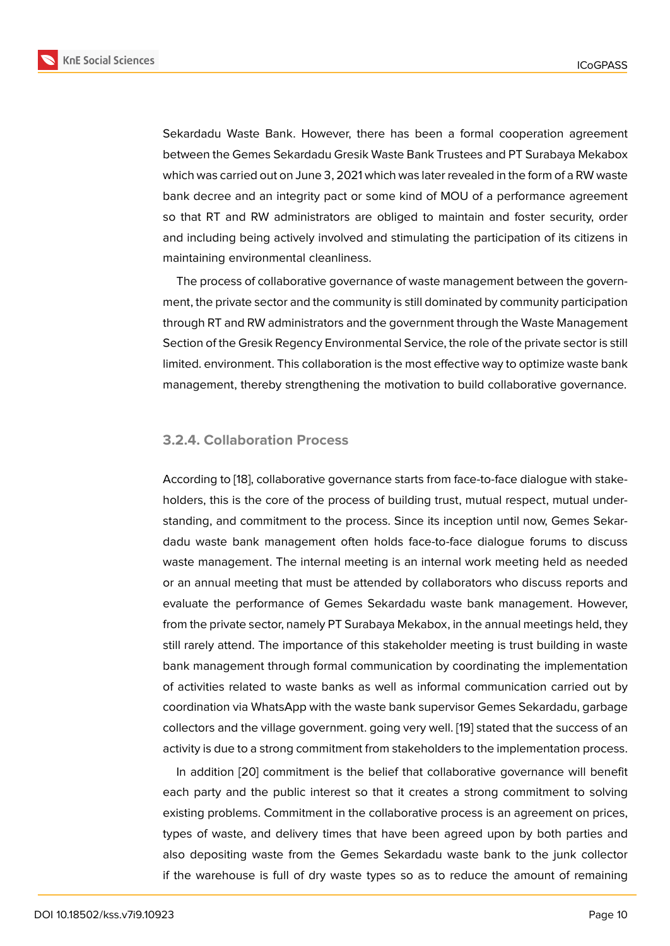Sekardadu Waste Bank. However, there has been a formal cooperation agreement between the Gemes Sekardadu Gresik Waste Bank Trustees and PT Surabaya Mekabox which was carried out on June 3, 2021 which was later revealed in the form of a RW waste bank decree and an integrity pact or some kind of MOU of a performance agreement so that RT and RW administrators are obliged to maintain and foster security, order and including being actively involved and stimulating the participation of its citizens in maintaining environmental cleanliness.

The process of collaborative governance of waste management between the government, the private sector and the community is still dominated by community participation through RT and RW administrators and the government through the Waste Management Section of the Gresik Regency Environmental Service, the role of the private sector is still limited. environment. This collaboration is the most effective way to optimize waste bank management, thereby strengthening the motivation to build collaborative governance.

#### **3.2.4. Collaboration Process**

According to [18], collaborative governance starts from face-to-face dialogue with stakeholders, this is the core of the process of building trust, mutual respect, mutual understanding, and commitment to the process. Since its inception until now, Gemes Sekardadu waste [ban](#page-12-5)k management often holds face-to-face dialogue forums to discuss waste management. The internal meeting is an internal work meeting held as needed or an annual meeting that must be attended by collaborators who discuss reports and evaluate the performance of Gemes Sekardadu waste bank management. However, from the private sector, namely PT Surabaya Mekabox, in the annual meetings held, they still rarely attend. The importance of this stakeholder meeting is trust building in waste bank management through formal communication by coordinating the implementation of activities related to waste banks as well as informal communication carried out by coordination via WhatsApp with the waste bank supervisor Gemes Sekardadu, garbage collectors and the village government. going very well. [19] stated that the success of an activity is due to a strong commitment from stakeholders to the implementation process.

In addition [20] commitment is the belief that collaborative governance will benefit each party and the public interest so that it creates [a st](#page-12-6)rong commitment to solving existing problems. Commitment in the collaborative process is an agreement on prices, types of waste, and delivery times that have been agreed upon by both parties and also depositing waste from the Gemes Sekardadu waste bank to the junk collector if the warehouse is full of dry waste types so as to reduce the amount of remaining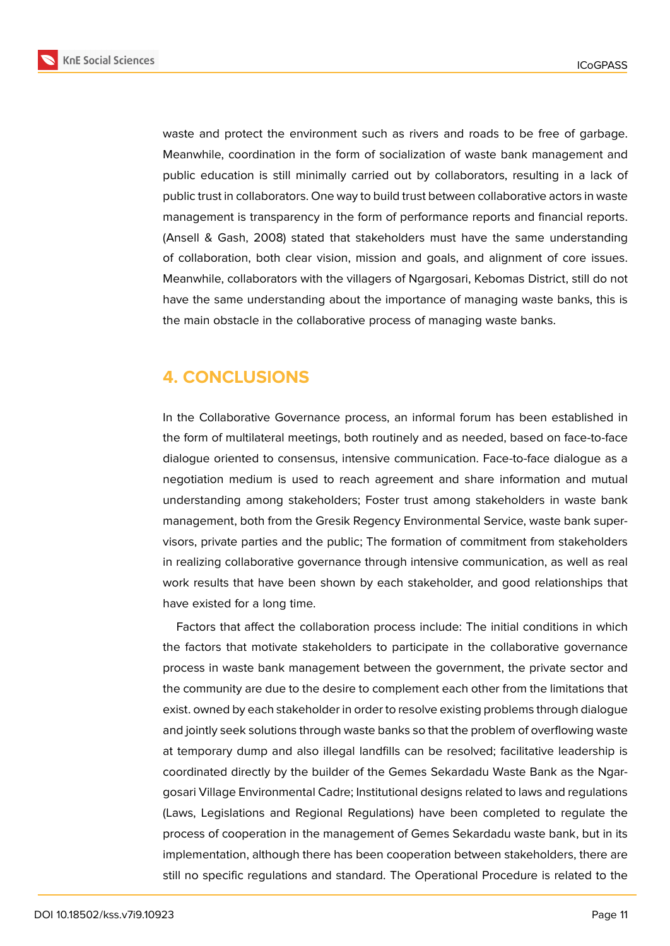**KnE Social Sciences** 



waste and protect the environment such as rivers and roads to be free of garbage. Meanwhile, coordination in the form of socialization of waste bank management and public education is still minimally carried out by collaborators, resulting in a lack of public trust in collaborators. One way to build trust between collaborative actors in waste management is transparency in the form of performance reports and financial reports. (Ansell & Gash, 2008) stated that stakeholders must have the same understanding of collaboration, both clear vision, mission and goals, and alignment of core issues. Meanwhile, collaborators with the villagers of Ngargosari, Kebomas District, still do not have the same understanding about the importance of managing waste banks, this is the main obstacle in the collaborative process of managing waste banks.

# **4. CONCLUSIONS**

In the Collaborative Governance process, an informal forum has been established in the form of multilateral meetings, both routinely and as needed, based on face-to-face dialogue oriented to consensus, intensive communication. Face-to-face dialogue as a negotiation medium is used to reach agreement and share information and mutual understanding among stakeholders; Foster trust among stakeholders in waste bank management, both from the Gresik Regency Environmental Service, waste bank supervisors, private parties and the public; The formation of commitment from stakeholders in realizing collaborative governance through intensive communication, as well as real work results that have been shown by each stakeholder, and good relationships that have existed for a long time.

Factors that affect the collaboration process include: The initial conditions in which the factors that motivate stakeholders to participate in the collaborative governance process in waste bank management between the government, the private sector and the community are due to the desire to complement each other from the limitations that exist. owned by each stakeholder in order to resolve existing problems through dialogue and jointly seek solutions through waste banks so that the problem of overflowing waste at temporary dump and also illegal landfills can be resolved; facilitative leadership is coordinated directly by the builder of the Gemes Sekardadu Waste Bank as the Ngargosari Village Environmental Cadre; Institutional designs related to laws and regulations (Laws, Legislations and Regional Regulations) have been completed to regulate the process of cooperation in the management of Gemes Sekardadu waste bank, but in its implementation, although there has been cooperation between stakeholders, there are still no specific regulations and standard. The Operational Procedure is related to the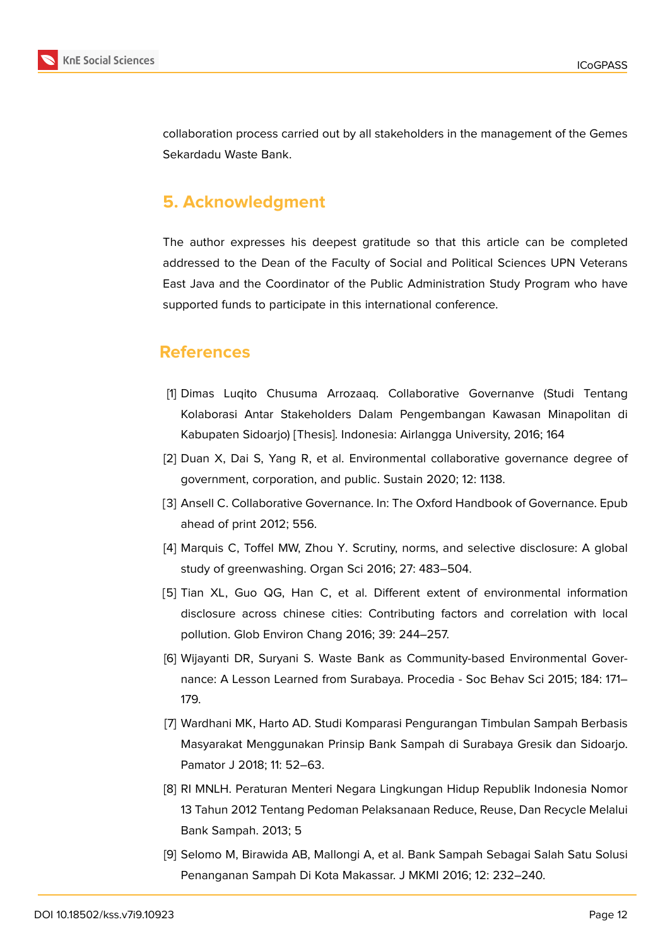

collaboration process carried out by all stakeholders in the management of the Gemes Sekardadu Waste Bank.

# **5. Acknowledgment**

The author expresses his deepest gratitude so that this article can be completed addressed to the Dean of the Faculty of Social and Political Sciences UPN Veterans East Java and the Coordinator of the Public Administration Study Program who have supported funds to participate in this international conference.

## **References**

- <span id="page-11-0"></span>[1] Dimas Luqito Chusuma Arrozaaq. Collaborative Governanve (Studi Tentang Kolaborasi Antar Stakeholders Dalam Pengembangan Kawasan Minapolitan di Kabupaten Sidoarjo) [Thesis]. Indonesia: Airlangga University, 2016; 164
- <span id="page-11-1"></span>[2] Duan X, Dai S, Yang R, et al. Environmental collaborative governance degree of government, corporation, and public. Sustain 2020; 12: 1138.
- <span id="page-11-2"></span>[3] Ansell C. Collaborative Governance. In: The Oxford Handbook of Governance. Epub ahead of print 2012; 556.
- <span id="page-11-3"></span>[4] Marquis C, Toffel MW, Zhou Y. Scrutiny, norms, and selective disclosure: A global study of greenwashing. Organ Sci 2016; 27: 483–504.
- <span id="page-11-4"></span>[5] Tian XL, Guo QG, Han C, et al. Different extent of environmental information disclosure across chinese cities: Contributing factors and correlation with local pollution. Glob Environ Chang 2016; 39: 244–257.
- <span id="page-11-5"></span>[6] Wijayanti DR, Suryani S. Waste Bank as Community-based Environmental Governance: A Lesson Learned from Surabaya. Procedia - Soc Behav Sci 2015; 184: 171– 179.
- <span id="page-11-6"></span>[7] Wardhani MK, Harto AD. Studi Komparasi Pengurangan Timbulan Sampah Berbasis Masyarakat Menggunakan Prinsip Bank Sampah di Surabaya Gresik dan Sidoarjo. Pamator J 2018; 11: 52–63.
- <span id="page-11-7"></span>[8] RI MNLH. Peraturan Menteri Negara Lingkungan Hidup Republik Indonesia Nomor 13 Tahun 2012 Tentang Pedoman Pelaksanaan Reduce, Reuse, Dan Recycle Melalui Bank Sampah. 2013; 5
- <span id="page-11-8"></span>[9] Selomo M, Birawida AB, Mallongi A, et al. Bank Sampah Sebagai Salah Satu Solusi Penanganan Sampah Di Kota Makassar. J MKMI 2016; 12: 232–240.